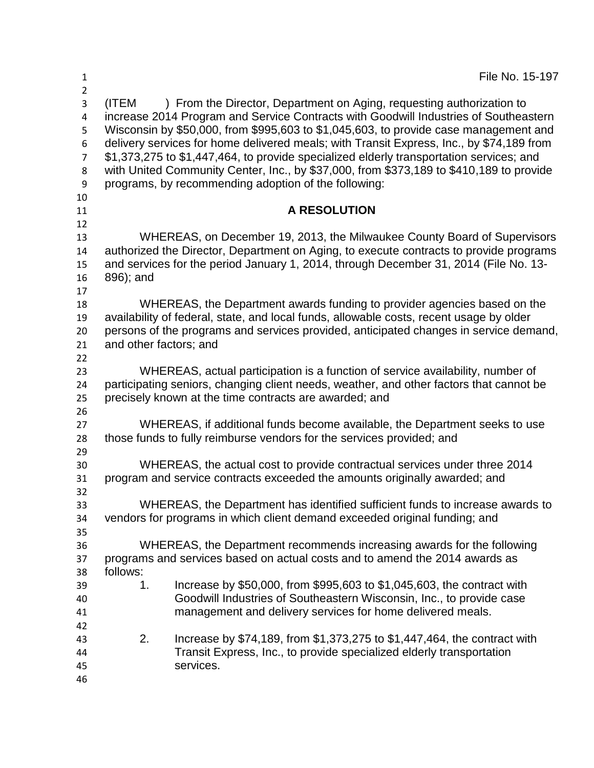| $\mathbf{1}$<br>$\overline{2}$                     |                                                                                                                                                                                                                                                                                        | File No. 15-197                                                                                                                                                                                                                                                                                                                                                                                                                                                                                                                                                                                 |
|----------------------------------------------------|----------------------------------------------------------------------------------------------------------------------------------------------------------------------------------------------------------------------------------------------------------------------------------------|-------------------------------------------------------------------------------------------------------------------------------------------------------------------------------------------------------------------------------------------------------------------------------------------------------------------------------------------------------------------------------------------------------------------------------------------------------------------------------------------------------------------------------------------------------------------------------------------------|
| 3<br>4<br>5<br>6<br>$\overline{7}$<br>8<br>9<br>10 | (ITEM                                                                                                                                                                                                                                                                                  | ) From the Director, Department on Aging, requesting authorization to<br>increase 2014 Program and Service Contracts with Goodwill Industries of Southeastern<br>Wisconsin by \$50,000, from \$995,603 to \$1,045,603, to provide case management and<br>delivery services for home delivered meals; with Transit Express, Inc., by \$74,189 from<br>\$1,373,275 to \$1,447,464, to provide specialized elderly transportation services; and<br>with United Community Center, Inc., by \$37,000, from \$373,189 to \$410,189 to provide<br>programs, by recommending adoption of the following: |
| 11                                                 |                                                                                                                                                                                                                                                                                        | <b>A RESOLUTION</b>                                                                                                                                                                                                                                                                                                                                                                                                                                                                                                                                                                             |
| 12<br>13<br>14<br>15<br>16<br>17                   | WHEREAS, on December 19, 2013, the Milwaukee County Board of Supervisors<br>authorized the Director, Department on Aging, to execute contracts to provide programs<br>and services for the period January 1, 2014, through December 31, 2014 (File No. 13-<br>896); and                |                                                                                                                                                                                                                                                                                                                                                                                                                                                                                                                                                                                                 |
| 18<br>19<br>20<br>21<br>22                         | WHEREAS, the Department awards funding to provider agencies based on the<br>availability of federal, state, and local funds, allowable costs, recent usage by older<br>persons of the programs and services provided, anticipated changes in service demand,<br>and other factors; and |                                                                                                                                                                                                                                                                                                                                                                                                                                                                                                                                                                                                 |
| 23<br>24<br>25<br>26                               | WHEREAS, actual participation is a function of service availability, number of<br>participating seniors, changing client needs, weather, and other factors that cannot be<br>precisely known at the time contracts are awarded; and                                                    |                                                                                                                                                                                                                                                                                                                                                                                                                                                                                                                                                                                                 |
| 27<br>28                                           |                                                                                                                                                                                                                                                                                        | WHEREAS, if additional funds become available, the Department seeks to use<br>those funds to fully reimburse vendors for the services provided; and                                                                                                                                                                                                                                                                                                                                                                                                                                             |
| 29<br>30<br>31<br>32                               | WHEREAS, the actual cost to provide contractual services under three 2014<br>program and service contracts exceeded the amounts originally awarded; and                                                                                                                                |                                                                                                                                                                                                                                                                                                                                                                                                                                                                                                                                                                                                 |
| 33<br>34<br>35                                     | WHEREAS, the Department has identified sufficient funds to increase awards to<br>vendors for programs in which client demand exceeded original funding; and                                                                                                                            |                                                                                                                                                                                                                                                                                                                                                                                                                                                                                                                                                                                                 |
| 36<br>37<br>38                                     | WHEREAS, the Department recommends increasing awards for the following<br>programs and services based on actual costs and to amend the 2014 awards as<br>follows:                                                                                                                      |                                                                                                                                                                                                                                                                                                                                                                                                                                                                                                                                                                                                 |
| 39<br>40<br>41                                     | 1.                                                                                                                                                                                                                                                                                     | Increase by \$50,000, from \$995,603 to \$1,045,603, the contract with<br>Goodwill Industries of Southeastern Wisconsin, Inc., to provide case<br>management and delivery services for home delivered meals.                                                                                                                                                                                                                                                                                                                                                                                    |
| 42<br>43<br>44<br>45<br>46                         | 2.                                                                                                                                                                                                                                                                                     | Increase by \$74,189, from \$1,373,275 to \$1,447,464, the contract with<br>Transit Express, Inc., to provide specialized elderly transportation<br>services.                                                                                                                                                                                                                                                                                                                                                                                                                                   |